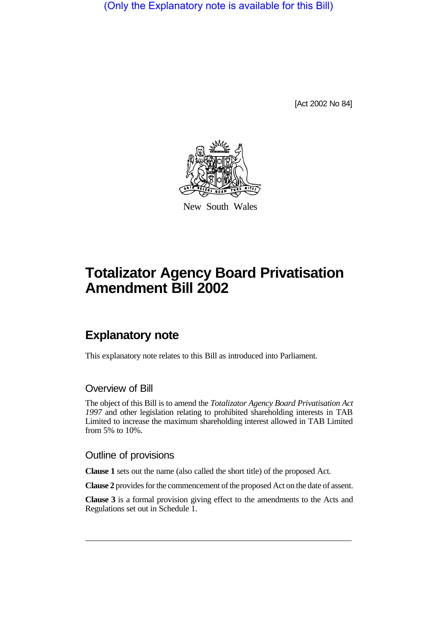(Only the Explanatory note is available for this Bill)

[Act 2002 No 84]



New South Wales

## **Totalizator Agency Board Privatisation Amendment Bill 2002**

## **Explanatory note**

This explanatory note relates to this Bill as introduced into Parliament.

## Overview of Bill

The object of this Bill is to amend the *Totalizator Agency Board Privatisation Act 1997* and other legislation relating to prohibited shareholding interests in TAB Limited to increase the maximum shareholding interest allowed in TAB Limited from 5% to 10%.

## Outline of provisions

**Clause 1** sets out the name (also called the short title) of the proposed Act.

**Clause 2** provides for the commencement of the proposed Act on the date of assent.

**Clause 3** is a formal provision giving effect to the amendments to the Acts and Regulations set out in Schedule 1.